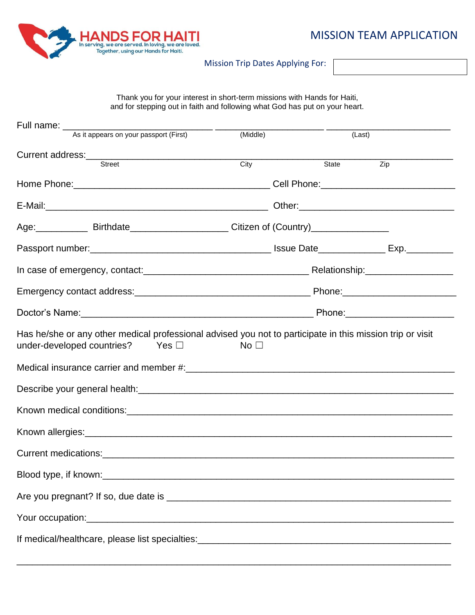

Mission Trip Dates Applying For:

Thank you for your interest in short-term missions with Hands for Haiti, and for stepping out in faith and following what God has put on your heart.

|  | Full name: __________________                                                                                                                                    |                 |        |     |  |
|--|------------------------------------------------------------------------------------------------------------------------------------------------------------------|-----------------|--------|-----|--|
|  | As it appears on your passport (First)                                                                                                                           | (Middle)        | (Last) |     |  |
|  |                                                                                                                                                                  |                 |        |     |  |
|  | <b>Street</b>                                                                                                                                                    | City            | State  | Zip |  |
|  |                                                                                                                                                                  |                 |        |     |  |
|  |                                                                                                                                                                  |                 |        |     |  |
|  | Age: Birthdate Birthdate Birthdate Bill Citizen of (Country)                                                                                                     |                 |        |     |  |
|  |                                                                                                                                                                  |                 |        |     |  |
|  |                                                                                                                                                                  |                 |        |     |  |
|  |                                                                                                                                                                  |                 |        |     |  |
|  |                                                                                                                                                                  |                 |        |     |  |
|  | Has he/she or any other medical professional advised you not to participate in this mission trip or visit<br>under-developed countries?<br>$\mathsf{Yes} \ \Box$ | No <sub>1</sub> |        |     |  |
|  |                                                                                                                                                                  |                 |        |     |  |
|  |                                                                                                                                                                  |                 |        |     |  |
|  |                                                                                                                                                                  |                 |        |     |  |
|  |                                                                                                                                                                  |                 |        |     |  |
|  |                                                                                                                                                                  |                 |        |     |  |
|  |                                                                                                                                                                  |                 |        |     |  |
|  |                                                                                                                                                                  |                 |        |     |  |
|  |                                                                                                                                                                  |                 |        |     |  |
|  |                                                                                                                                                                  |                 |        |     |  |

\_\_\_\_\_\_\_\_\_\_\_\_\_\_\_\_\_\_\_\_\_\_\_\_\_\_\_\_\_\_\_\_\_\_\_\_\_\_\_\_\_\_\_\_\_\_\_\_\_\_\_\_\_\_\_\_\_\_\_\_\_\_\_\_\_\_\_\_\_\_\_\_\_\_\_\_\_\_\_\_\_\_\_\_